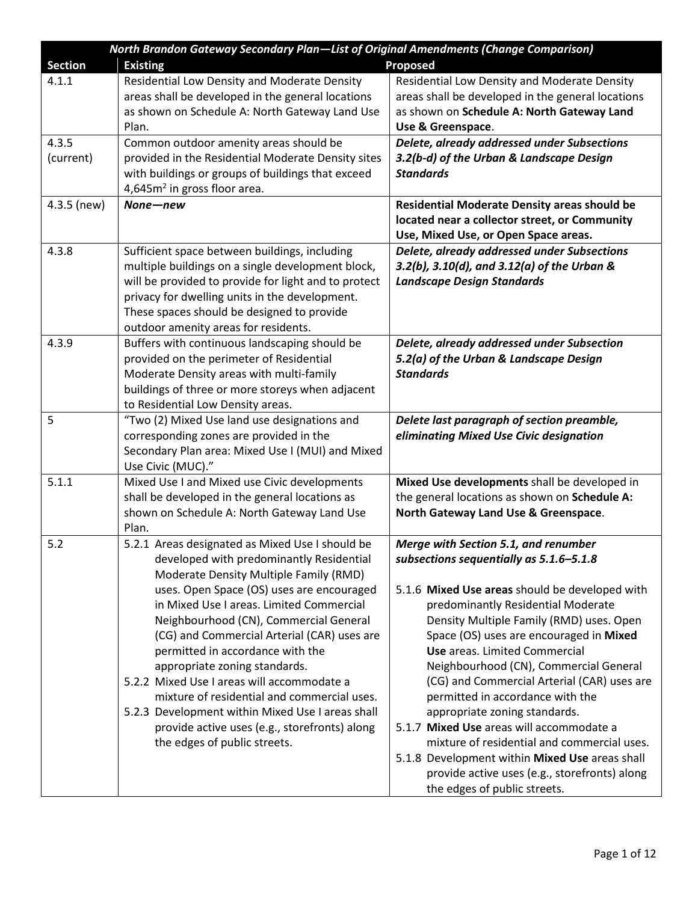| North Brandon Gateway Secondary Plan-List of Original Amendments (Change Comparison) |                                                                   |                                                     |  |
|--------------------------------------------------------------------------------------|-------------------------------------------------------------------|-----------------------------------------------------|--|
| <b>Section</b>                                                                       | <b>Existing</b>                                                   | <b>Proposed</b>                                     |  |
| 4.1.1                                                                                | Residential Low Density and Moderate Density                      | Residential Low Density and Moderate Density        |  |
|                                                                                      | areas shall be developed in the general locations                 | areas shall be developed in the general locations   |  |
|                                                                                      | as shown on Schedule A: North Gateway Land Use                    | as shown on Schedule A: North Gateway Land          |  |
|                                                                                      | Plan.                                                             | Use & Greenspace.                                   |  |
| 4.3.5                                                                                | Common outdoor amenity areas should be                            | Delete, already addressed under Subsections         |  |
| (current)                                                                            | provided in the Residential Moderate Density sites                | 3.2(b-d) of the Urban & Landscape Design            |  |
|                                                                                      | with buildings or groups of buildings that exceed                 | <b>Standards</b>                                    |  |
|                                                                                      | 4,645m <sup>2</sup> in gross floor area.                          |                                                     |  |
| 4.3.5 (new)                                                                          | None-new                                                          | Residential Moderate Density areas should be        |  |
|                                                                                      |                                                                   | located near a collector street, or Community       |  |
|                                                                                      |                                                                   | Use, Mixed Use, or Open Space areas.                |  |
| 4.3.8                                                                                | Sufficient space between buildings, including                     | Delete, already addressed under Subsections         |  |
|                                                                                      | multiple buildings on a single development block,                 | $3.2(b)$ , $3.10(d)$ , and $3.12(a)$ of the Urban & |  |
|                                                                                      | will be provided to provide for light and to protect              | <b>Landscape Design Standards</b>                   |  |
|                                                                                      | privacy for dwelling units in the development.                    |                                                     |  |
|                                                                                      | These spaces should be designed to provide                        |                                                     |  |
|                                                                                      | outdoor amenity areas for residents.                              |                                                     |  |
| 4.3.9                                                                                | Buffers with continuous landscaping should be                     | Delete, already addressed under Subsection          |  |
|                                                                                      | provided on the perimeter of Residential                          | 5.2(a) of the Urban & Landscape Design              |  |
|                                                                                      | Moderate Density areas with multi-family                          | <b>Standards</b>                                    |  |
|                                                                                      | buildings of three or more storeys when adjacent                  |                                                     |  |
|                                                                                      | to Residential Low Density areas.                                 |                                                     |  |
| 5                                                                                    | "Two (2) Mixed Use land use designations and                      | Delete last paragraph of section preamble,          |  |
|                                                                                      | corresponding zones are provided in the                           | eliminating Mixed Use Civic designation             |  |
|                                                                                      | Secondary Plan area: Mixed Use I (MUI) and Mixed                  |                                                     |  |
| 5.1.1                                                                                | Use Civic (MUC)."<br>Mixed Use I and Mixed use Civic developments | Mixed Use developments shall be developed in        |  |
|                                                                                      | shall be developed in the general locations as                    | the general locations as shown on Schedule A:       |  |
|                                                                                      | shown on Schedule A: North Gateway Land Use                       | North Gateway Land Use & Greenspace.                |  |
|                                                                                      | Plan.                                                             |                                                     |  |
| 5.2                                                                                  | 5.2.1 Areas designated as Mixed Use I should be                   | Merge with Section 5.1, and renumber                |  |
|                                                                                      | developed with predominantly Residential                          | subsections sequentially as 5.1.6-5.1.8             |  |
|                                                                                      | Moderate Density Multiple Family (RMD)                            |                                                     |  |
|                                                                                      | uses. Open Space (OS) uses are encouraged                         | 5.1.6 Mixed Use areas should be developed with      |  |
|                                                                                      | in Mixed Use I areas. Limited Commercial                          | predominantly Residential Moderate                  |  |
|                                                                                      | Neighbourhood (CN), Commercial General                            | Density Multiple Family (RMD) uses. Open            |  |
|                                                                                      | (CG) and Commercial Arterial (CAR) uses are                       | Space (OS) uses are encouraged in Mixed             |  |
|                                                                                      | permitted in accordance with the                                  | <b>Use</b> areas. Limited Commercial                |  |
|                                                                                      | appropriate zoning standards.                                     | Neighbourhood (CN), Commercial General              |  |
|                                                                                      | 5.2.2 Mixed Use I areas will accommodate a                        | (CG) and Commercial Arterial (CAR) uses are         |  |
|                                                                                      | mixture of residential and commercial uses.                       | permitted in accordance with the                    |  |
|                                                                                      | 5.2.3 Development within Mixed Use I areas shall                  | appropriate zoning standards.                       |  |
|                                                                                      | provide active uses (e.g., storefronts) along                     | 5.1.7 Mixed Use areas will accommodate a            |  |
|                                                                                      | the edges of public streets.                                      | mixture of residential and commercial uses.         |  |
|                                                                                      |                                                                   | 5.1.8 Development within Mixed Use areas shall      |  |
|                                                                                      |                                                                   | provide active uses (e.g., storefronts) along       |  |
|                                                                                      |                                                                   | the edges of public streets.                        |  |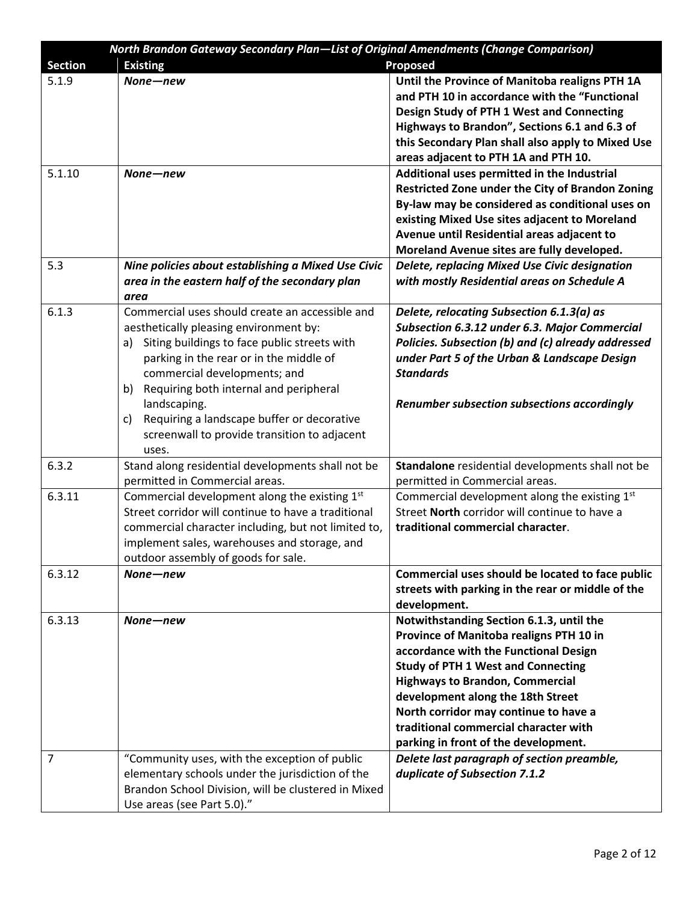| <b>North Brandon Gateway Secondary Plan—List of Original Amendments (Change Comparison)</b> |                                                     |                                                                            |  |  |
|---------------------------------------------------------------------------------------------|-----------------------------------------------------|----------------------------------------------------------------------------|--|--|
| <b>Section</b>                                                                              | <b>Existing</b>                                     | Proposed                                                                   |  |  |
| 5.1.9                                                                                       | None-new                                            | Until the Province of Manitoba realigns PTH 1A                             |  |  |
|                                                                                             |                                                     | and PTH 10 in accordance with the "Functional                              |  |  |
|                                                                                             |                                                     | Design Study of PTH 1 West and Connecting                                  |  |  |
|                                                                                             |                                                     | Highways to Brandon", Sections 6.1 and 6.3 of                              |  |  |
|                                                                                             |                                                     | this Secondary Plan shall also apply to Mixed Use                          |  |  |
|                                                                                             |                                                     | areas adjacent to PTH 1A and PTH 10.                                       |  |  |
| 5.1.10                                                                                      | None-new                                            | Additional uses permitted in the Industrial                                |  |  |
|                                                                                             |                                                     | Restricted Zone under the City of Brandon Zoning                           |  |  |
|                                                                                             |                                                     | By-law may be considered as conditional uses on                            |  |  |
|                                                                                             |                                                     | existing Mixed Use sites adjacent to Moreland                              |  |  |
|                                                                                             |                                                     | Avenue until Residential areas adjacent to                                 |  |  |
|                                                                                             |                                                     | Moreland Avenue sites are fully developed.                                 |  |  |
| 5.3                                                                                         | Nine policies about establishing a Mixed Use Civic  | Delete, replacing Mixed Use Civic designation                              |  |  |
|                                                                                             | area in the eastern half of the secondary plan      | with mostly Residential areas on Schedule A                                |  |  |
|                                                                                             | area                                                |                                                                            |  |  |
| 6.1.3                                                                                       | Commercial uses should create an accessible and     | Delete, relocating Subsection 6.1.3(a) as                                  |  |  |
|                                                                                             | aesthetically pleasing environment by:              | Subsection 6.3.12 under 6.3. Major Commercial                              |  |  |
|                                                                                             | Siting buildings to face public streets with<br>a)  | Policies. Subsection (b) and (c) already addressed                         |  |  |
|                                                                                             | parking in the rear or in the middle of             | under Part 5 of the Urban & Landscape Design                               |  |  |
|                                                                                             | commercial developments; and                        | <b>Standards</b>                                                           |  |  |
|                                                                                             | Requiring both internal and peripheral<br>b)        |                                                                            |  |  |
|                                                                                             | landscaping.                                        | <b>Renumber subsection subsections accordingly</b>                         |  |  |
|                                                                                             | Requiring a landscape buffer or decorative<br>c)    |                                                                            |  |  |
|                                                                                             | screenwall to provide transition to adjacent        |                                                                            |  |  |
|                                                                                             | uses.                                               |                                                                            |  |  |
| 6.3.2                                                                                       | Stand along residential developments shall not be   | Standalone residential developments shall not be                           |  |  |
|                                                                                             | permitted in Commercial areas.                      | permitted in Commercial areas.                                             |  |  |
| 6.3.11                                                                                      | Commercial development along the existing 1st       | Commercial development along the existing 1st                              |  |  |
|                                                                                             | Street corridor will continue to have a traditional | Street North corridor will continue to have a                              |  |  |
|                                                                                             | commercial character including, but not limited to, | traditional commercial character.                                          |  |  |
|                                                                                             | implement sales, warehouses and storage, and        |                                                                            |  |  |
|                                                                                             | outdoor assembly of goods for sale.                 |                                                                            |  |  |
| 6.3.12                                                                                      | None-new                                            | Commercial uses should be located to face public                           |  |  |
|                                                                                             |                                                     | streets with parking in the rear or middle of the                          |  |  |
|                                                                                             |                                                     | development.                                                               |  |  |
| 6.3.13                                                                                      | None-new                                            | Notwithstanding Section 6.1.3, until the                                   |  |  |
|                                                                                             |                                                     | Province of Manitoba realigns PTH 10 in                                    |  |  |
|                                                                                             |                                                     | accordance with the Functional Design                                      |  |  |
|                                                                                             |                                                     | <b>Study of PTH 1 West and Connecting</b>                                  |  |  |
|                                                                                             |                                                     | <b>Highways to Brandon, Commercial</b>                                     |  |  |
|                                                                                             |                                                     |                                                                            |  |  |
|                                                                                             |                                                     | development along the 18th Street<br>North corridor may continue to have a |  |  |
|                                                                                             |                                                     | traditional commercial character with                                      |  |  |
|                                                                                             |                                                     |                                                                            |  |  |
|                                                                                             |                                                     | parking in front of the development.                                       |  |  |
| 7                                                                                           | "Community uses, with the exception of public       | Delete last paragraph of section preamble,                                 |  |  |
|                                                                                             | elementary schools under the jurisdiction of the    | duplicate of Subsection 7.1.2                                              |  |  |
|                                                                                             | Brandon School Division, will be clustered in Mixed |                                                                            |  |  |
|                                                                                             | Use areas (see Part 5.0)."                          |                                                                            |  |  |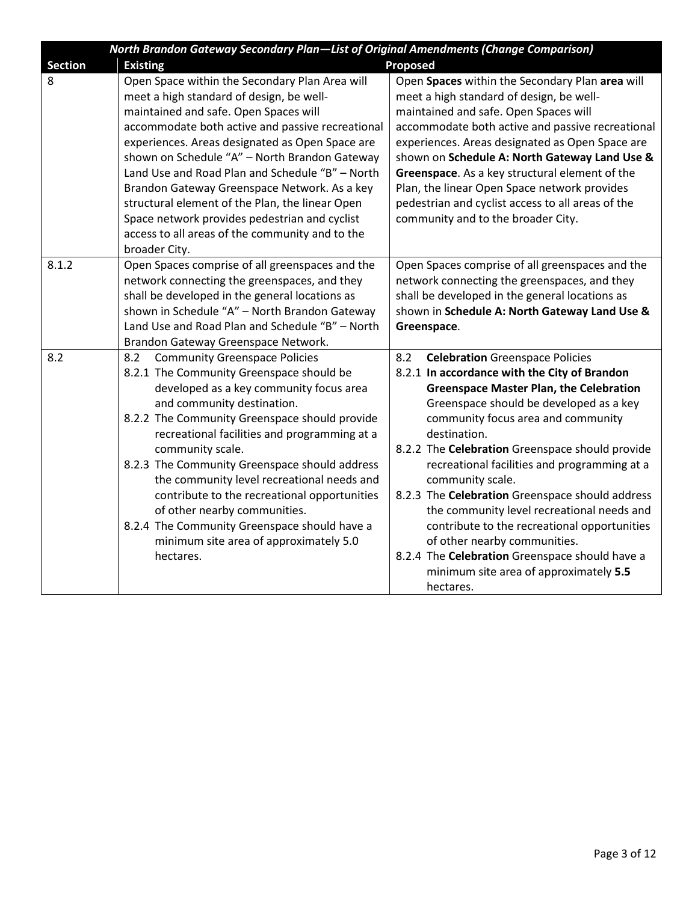|                | North Brandon Gateway Secondary Plan-List of Original Amendments (Change Comparison)                                                                                                                                                                                                                                                                                                                                                                                                                                                                                        |                                                                                                                                                                                                                                                                                                                                                                                                                                                                                                                                                                                                                                                                   |  |  |
|----------------|-----------------------------------------------------------------------------------------------------------------------------------------------------------------------------------------------------------------------------------------------------------------------------------------------------------------------------------------------------------------------------------------------------------------------------------------------------------------------------------------------------------------------------------------------------------------------------|-------------------------------------------------------------------------------------------------------------------------------------------------------------------------------------------------------------------------------------------------------------------------------------------------------------------------------------------------------------------------------------------------------------------------------------------------------------------------------------------------------------------------------------------------------------------------------------------------------------------------------------------------------------------|--|--|
| <b>Section</b> | <b>Existing</b>                                                                                                                                                                                                                                                                                                                                                                                                                                                                                                                                                             | <b>Proposed</b>                                                                                                                                                                                                                                                                                                                                                                                                                                                                                                                                                                                                                                                   |  |  |
| 8              | Open Space within the Secondary Plan Area will<br>meet a high standard of design, be well-<br>maintained and safe. Open Spaces will<br>accommodate both active and passive recreational<br>experiences. Areas designated as Open Space are<br>shown on Schedule "A" - North Brandon Gateway<br>Land Use and Road Plan and Schedule "B" - North<br>Brandon Gateway Greenspace Network. As a key<br>structural element of the Plan, the linear Open<br>Space network provides pedestrian and cyclist<br>access to all areas of the community and to the<br>broader City.      | Open Spaces within the Secondary Plan area will<br>meet a high standard of design, be well-<br>maintained and safe. Open Spaces will<br>accommodate both active and passive recreational<br>experiences. Areas designated as Open Space are<br>shown on Schedule A: North Gateway Land Use &<br>Greenspace. As a key structural element of the<br>Plan, the linear Open Space network provides<br>pedestrian and cyclist access to all areas of the<br>community and to the broader City.                                                                                                                                                                         |  |  |
| 8.1.2          | Open Spaces comprise of all greenspaces and the<br>network connecting the greenspaces, and they<br>shall be developed in the general locations as<br>shown in Schedule "A" - North Brandon Gateway<br>Land Use and Road Plan and Schedule "B" - North<br>Brandon Gateway Greenspace Network.                                                                                                                                                                                                                                                                                | Open Spaces comprise of all greenspaces and the<br>network connecting the greenspaces, and they<br>shall be developed in the general locations as<br>shown in Schedule A: North Gateway Land Use &<br>Greenspace.                                                                                                                                                                                                                                                                                                                                                                                                                                                 |  |  |
| 8.2            | <b>Community Greenspace Policies</b><br>8.2<br>8.2.1 The Community Greenspace should be<br>developed as a key community focus area<br>and community destination.<br>8.2.2 The Community Greenspace should provide<br>recreational facilities and programming at a<br>community scale.<br>8.2.3 The Community Greenspace should address<br>the community level recreational needs and<br>contribute to the recreational opportunities<br>of other nearby communities.<br>8.2.4 The Community Greenspace should have a<br>minimum site area of approximately 5.0<br>hectares. | 8.2<br><b>Celebration Greenspace Policies</b><br>8.2.1 In accordance with the City of Brandon<br><b>Greenspace Master Plan, the Celebration</b><br>Greenspace should be developed as a key<br>community focus area and community<br>destination.<br>8.2.2 The Celebration Greenspace should provide<br>recreational facilities and programming at a<br>community scale.<br>8.2.3 The Celebration Greenspace should address<br>the community level recreational needs and<br>contribute to the recreational opportunities<br>of other nearby communities.<br>8.2.4 The Celebration Greenspace should have a<br>minimum site area of approximately 5.5<br>hectares. |  |  |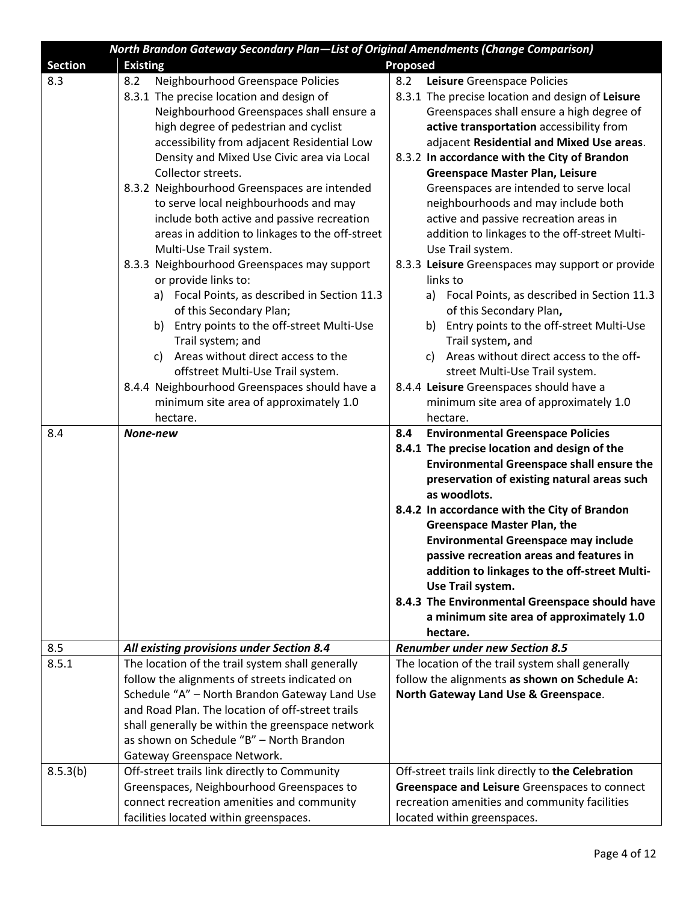|                | North Brandon Gateway Secondary Plan-List of Original Amendments (Change Comparison) |                                                    |
|----------------|--------------------------------------------------------------------------------------|----------------------------------------------------|
| <b>Section</b> | <b>Existing</b>                                                                      | <b>Proposed</b>                                    |
| 8.3            | 8.2<br>Neighbourhood Greenspace Policies                                             | 8.2<br>Leisure Greenspace Policies                 |
|                | 8.3.1 The precise location and design of                                             | 8.3.1 The precise location and design of Leisure   |
|                | Neighbourhood Greenspaces shall ensure a                                             | Greenspaces shall ensure a high degree of          |
|                | high degree of pedestrian and cyclist                                                | active transportation accessibility from           |
|                | accessibility from adjacent Residential Low                                          | adjacent Residential and Mixed Use areas.          |
|                | Density and Mixed Use Civic area via Local                                           | 8.3.2 In accordance with the City of Brandon       |
|                | Collector streets.                                                                   | <b>Greenspace Master Plan, Leisure</b>             |
|                | 8.3.2 Neighbourhood Greenspaces are intended                                         | Greenspaces are intended to serve local            |
|                | to serve local neighbourhoods and may                                                | neighbourhoods and may include both                |
|                | include both active and passive recreation                                           | active and passive recreation areas in             |
|                | areas in addition to linkages to the off-street                                      | addition to linkages to the off-street Multi-      |
|                | Multi-Use Trail system.                                                              | Use Trail system.                                  |
|                | 8.3.3 Neighbourhood Greenspaces may support                                          | 8.3.3 Leisure Greenspaces may support or provide   |
|                | or provide links to:                                                                 | links to                                           |
|                | a) Focal Points, as described in Section 11.3                                        | a) Focal Points, as described in Section 11.3      |
|                | of this Secondary Plan;                                                              | of this Secondary Plan,                            |
|                | Entry points to the off-street Multi-Use<br>b)                                       | b) Entry points to the off-street Multi-Use        |
|                | Trail system; and                                                                    | Trail system, and                                  |
|                | c) Areas without direct access to the                                                | c) Areas without direct access to the off-         |
|                | offstreet Multi-Use Trail system.                                                    | street Multi-Use Trail system.                     |
|                | 8.4.4 Neighbourhood Greenspaces should have a                                        | 8.4.4 Leisure Greenspaces should have a            |
|                | minimum site area of approximately 1.0                                               | minimum site area of approximately 1.0             |
|                | hectare.                                                                             | hectare.                                           |
| 8.4            | None-new                                                                             | <b>Environmental Greenspace Policies</b><br>8.4    |
|                |                                                                                      | 8.4.1 The precise location and design of the       |
|                |                                                                                      | <b>Environmental Greenspace shall ensure the</b>   |
|                |                                                                                      | preservation of existing natural areas such        |
|                |                                                                                      | as woodlots.                                       |
|                |                                                                                      | 8.4.2 In accordance with the City of Brandon       |
|                |                                                                                      | <b>Greenspace Master Plan, the</b>                 |
|                |                                                                                      | <b>Environmental Greenspace may include</b>        |
|                |                                                                                      | passive recreation areas and features in           |
|                |                                                                                      | addition to linkages to the off-street Multi-      |
|                |                                                                                      | Use Trail system.                                  |
|                |                                                                                      | 8.4.3 The Environmental Greenspace should have     |
|                |                                                                                      | a minimum site area of approximately 1.0           |
|                |                                                                                      | hectare.                                           |
| 8.5            | All existing provisions under Section 8.4                                            | <b>Renumber under new Section 8.5</b>              |
| 8.5.1          | The location of the trail system shall generally                                     | The location of the trail system shall generally   |
|                | follow the alignments of streets indicated on                                        | follow the alignments as shown on Schedule A:      |
|                | Schedule "A" - North Brandon Gateway Land Use                                        | North Gateway Land Use & Greenspace.               |
|                | and Road Plan. The location of off-street trails                                     |                                                    |
|                | shall generally be within the greenspace network                                     |                                                    |
|                | as shown on Schedule "B" - North Brandon                                             |                                                    |
|                | Gateway Greenspace Network.                                                          |                                                    |
| 8.5.3(b)       | Off-street trails link directly to Community                                         | Off-street trails link directly to the Celebration |
|                | Greenspaces, Neighbourhood Greenspaces to                                            | Greenspace and Leisure Greenspaces to connect      |
|                | connect recreation amenities and community                                           | recreation amenities and community facilities      |
|                | facilities located within greenspaces.                                               | located within greenspaces.                        |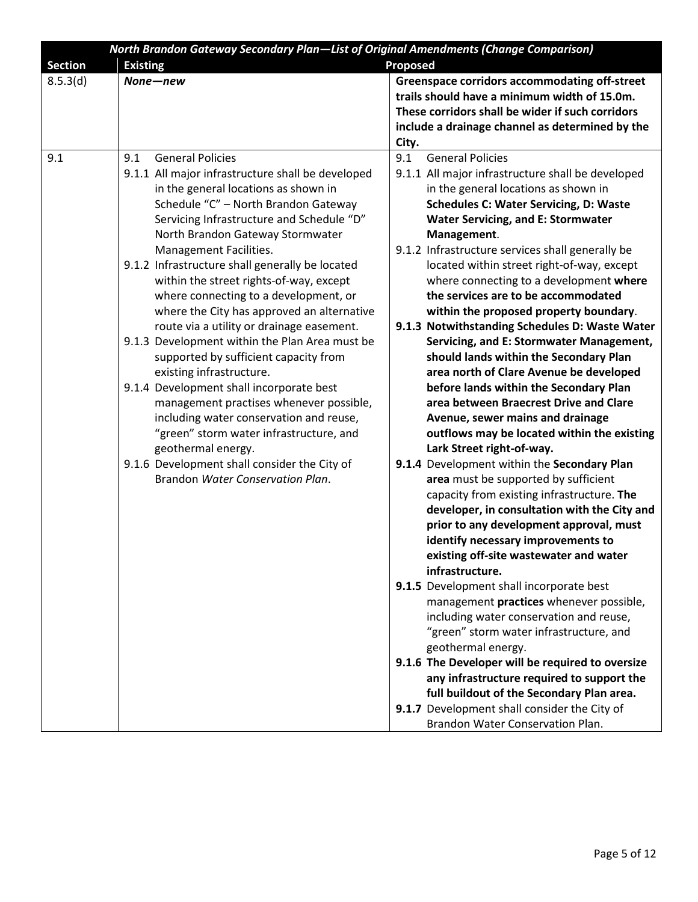|                | North Brandon Gateway Secondary Plan-List of Original Amendments (Change Comparison) |                                                      |
|----------------|--------------------------------------------------------------------------------------|------------------------------------------------------|
| <b>Section</b> | <b>Existing</b>                                                                      | <b>Proposed</b>                                      |
| 8.5.3(d)       | None-new                                                                             | <b>Greenspace corridors accommodating off-street</b> |
|                |                                                                                      | trails should have a minimum width of 15.0m.         |
|                |                                                                                      | These corridors shall be wider if such corridors     |
|                |                                                                                      | include a drainage channel as determined by the      |
|                |                                                                                      | City.                                                |
| 9.1            | <b>General Policies</b><br>9.1                                                       | 9.1<br><b>General Policies</b>                       |
|                | 9.1.1 All major infrastructure shall be developed                                    | 9.1.1 All major infrastructure shall be developed    |
|                | in the general locations as shown in                                                 | in the general locations as shown in                 |
|                | Schedule "C" - North Brandon Gateway                                                 | <b>Schedules C: Water Servicing, D: Waste</b>        |
|                | Servicing Infrastructure and Schedule "D"                                            | <b>Water Servicing, and E: Stormwater</b>            |
|                | North Brandon Gateway Stormwater                                                     | Management.                                          |
|                | Management Facilities.                                                               | 9.1.2 Infrastructure services shall generally be     |
|                | 9.1.2 Infrastructure shall generally be located                                      | located within street right-of-way, except           |
|                | within the street rights-of-way, except                                              | where connecting to a development where              |
|                | where connecting to a development, or                                                | the services are to be accommodated                  |
|                | where the City has approved an alternative                                           | within the proposed property boundary.               |
|                | route via a utility or drainage easement.                                            | 9.1.3 Notwithstanding Schedules D: Waste Water       |
|                | 9.1.3 Development within the Plan Area must be                                       | Servicing, and E: Stormwater Management,             |
|                | supported by sufficient capacity from                                                | should lands within the Secondary Plan               |
|                | existing infrastructure.                                                             | area north of Clare Avenue be developed              |
|                | 9.1.4 Development shall incorporate best                                             | before lands within the Secondary Plan               |
|                | management practises whenever possible,                                              | area between Braecrest Drive and Clare               |
|                | including water conservation and reuse,                                              | Avenue, sewer mains and drainage                     |
|                | "green" storm water infrastructure, and                                              | outflows may be located within the existing          |
|                | geothermal energy.                                                                   | Lark Street right-of-way.                            |
|                | 9.1.6 Development shall consider the City of                                         | 9.1.4 Development within the Secondary Plan          |
|                | Brandon Water Conservation Plan.                                                     | area must be supported by sufficient                 |
|                |                                                                                      | capacity from existing infrastructure. The           |
|                |                                                                                      | developer, in consultation with the City and         |
|                |                                                                                      | prior to any development approval, must              |
|                |                                                                                      | identify necessary improvements to                   |
|                |                                                                                      | existing off-site wastewater and water               |
|                |                                                                                      | infrastructure.                                      |
|                |                                                                                      | 9.1.5 Development shall incorporate best             |
|                |                                                                                      | management practices whenever possible,              |
|                |                                                                                      | including water conservation and reuse,              |
|                |                                                                                      | "green" storm water infrastructure, and              |
|                |                                                                                      | geothermal energy.                                   |
|                |                                                                                      | 9.1.6 The Developer will be required to oversize     |
|                |                                                                                      | any infrastructure required to support the           |
|                |                                                                                      | full buildout of the Secondary Plan area.            |
|                |                                                                                      | 9.1.7 Development shall consider the City of         |
|                |                                                                                      | Brandon Water Conservation Plan.                     |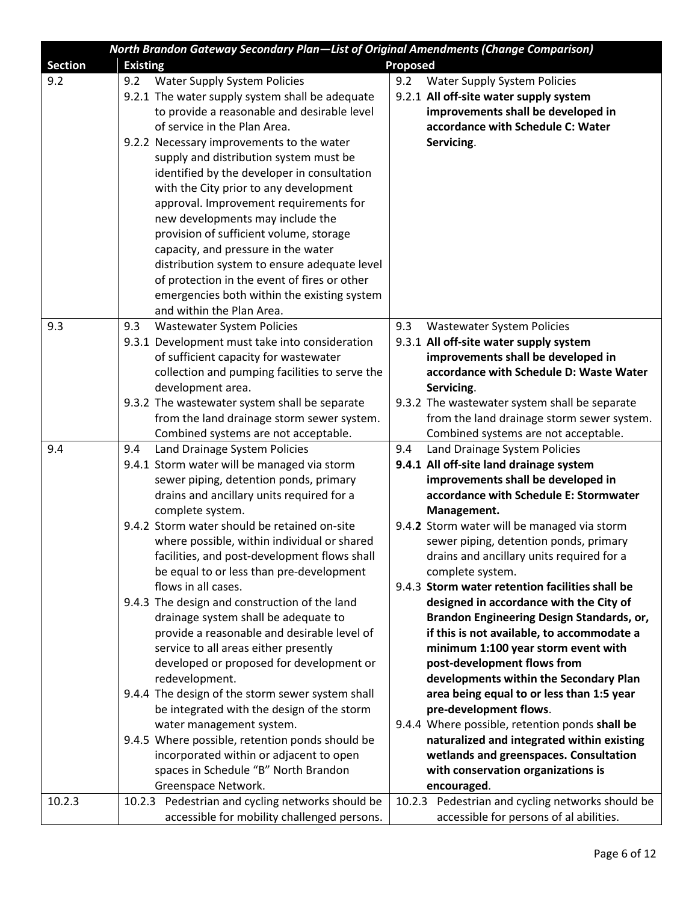| <b>North Brandon Gateway Secondary Plan—List of Original Amendments (Change Comparison)</b> |                 |                                                                                          |                 |                                                                                             |
|---------------------------------------------------------------------------------------------|-----------------|------------------------------------------------------------------------------------------|-----------------|---------------------------------------------------------------------------------------------|
| <b>Section</b>                                                                              | <b>Existing</b> |                                                                                          | <b>Proposed</b> |                                                                                             |
| 9.2                                                                                         | 9.2             | <b>Water Supply System Policies</b>                                                      | 9.2             | <b>Water Supply System Policies</b>                                                         |
|                                                                                             |                 | 9.2.1 The water supply system shall be adequate                                          |                 | 9.2.1 All off-site water supply system                                                      |
|                                                                                             |                 | to provide a reasonable and desirable level                                              |                 | improvements shall be developed in                                                          |
|                                                                                             |                 | of service in the Plan Area.                                                             |                 | accordance with Schedule C: Water                                                           |
|                                                                                             |                 | 9.2.2 Necessary improvements to the water                                                |                 | Servicing.                                                                                  |
|                                                                                             |                 | supply and distribution system must be                                                   |                 |                                                                                             |
|                                                                                             |                 | identified by the developer in consultation                                              |                 |                                                                                             |
|                                                                                             |                 | with the City prior to any development                                                   |                 |                                                                                             |
|                                                                                             |                 | approval. Improvement requirements for                                                   |                 |                                                                                             |
|                                                                                             |                 | new developments may include the                                                         |                 |                                                                                             |
|                                                                                             |                 | provision of sufficient volume, storage                                                  |                 |                                                                                             |
|                                                                                             |                 | capacity, and pressure in the water                                                      |                 |                                                                                             |
|                                                                                             |                 | distribution system to ensure adequate level                                             |                 |                                                                                             |
|                                                                                             |                 | of protection in the event of fires or other                                             |                 |                                                                                             |
|                                                                                             |                 | emergencies both within the existing system                                              |                 |                                                                                             |
|                                                                                             |                 | and within the Plan Area.                                                                |                 |                                                                                             |
| 9.3                                                                                         | 9.3             | <b>Wastewater System Policies</b>                                                        | 9.3             | <b>Wastewater System Policies</b>                                                           |
|                                                                                             |                 | 9.3.1 Development must take into consideration                                           |                 | 9.3.1 All off-site water supply system                                                      |
|                                                                                             |                 | of sufficient capacity for wastewater                                                    |                 | improvements shall be developed in                                                          |
|                                                                                             |                 | collection and pumping facilities to serve the                                           |                 | accordance with Schedule D: Waste Water                                                     |
|                                                                                             |                 | development area.                                                                        |                 | Servicing.                                                                                  |
|                                                                                             |                 | 9.3.2 The wastewater system shall be separate                                            |                 | 9.3.2 The wastewater system shall be separate                                               |
|                                                                                             |                 | from the land drainage storm sewer system.                                               |                 | from the land drainage storm sewer system.                                                  |
|                                                                                             |                 | Combined systems are not acceptable.                                                     |                 | Combined systems are not acceptable.                                                        |
| 9.4                                                                                         | 9.4             | Land Drainage System Policies                                                            | 9.4             | Land Drainage System Policies                                                               |
|                                                                                             |                 | 9.4.1 Storm water will be managed via storm                                              |                 | 9.4.1 All off-site land drainage system                                                     |
|                                                                                             |                 | sewer piping, detention ponds, primary                                                   |                 | improvements shall be developed in                                                          |
|                                                                                             |                 | drains and ancillary units required for a                                                |                 | accordance with Schedule E: Stormwater                                                      |
|                                                                                             |                 | complete system.                                                                         |                 | Management.                                                                                 |
|                                                                                             |                 | 9.4.2 Storm water should be retained on-site                                             |                 | 9.4.2 Storm water will be managed via storm                                                 |
|                                                                                             |                 | where possible, within individual or shared                                              |                 | sewer piping, detention ponds, primary                                                      |
|                                                                                             |                 | facilities, and post-development flows shall                                             |                 | drains and ancillary units required for a                                                   |
|                                                                                             |                 | be equal to or less than pre-development                                                 |                 | complete system.                                                                            |
|                                                                                             |                 | flows in all cases.                                                                      |                 | 9.4.3 Storm water retention facilities shall be                                             |
|                                                                                             |                 | 9.4.3 The design and construction of the land                                            |                 | designed in accordance with the City of                                                     |
|                                                                                             |                 | drainage system shall be adequate to                                                     |                 | Brandon Engineering Design Standards, or,                                                   |
|                                                                                             |                 | provide a reasonable and desirable level of                                              |                 | if this is not available, to accommodate a                                                  |
|                                                                                             |                 | service to all areas either presently                                                    |                 | minimum 1:100 year storm event with                                                         |
|                                                                                             |                 | developed or proposed for development or                                                 |                 | post-development flows from                                                                 |
|                                                                                             |                 | redevelopment.                                                                           |                 | developments within the Secondary Plan                                                      |
|                                                                                             |                 | 9.4.4 The design of the storm sewer system shall                                         |                 | area being equal to or less than 1:5 year                                                   |
|                                                                                             |                 | be integrated with the design of the storm                                               |                 | pre-development flows.                                                                      |
|                                                                                             |                 | water management system.                                                                 |                 | 9.4.4 Where possible, retention ponds shall be                                              |
|                                                                                             |                 | 9.4.5 Where possible, retention ponds should be                                          |                 | naturalized and integrated within existing                                                  |
|                                                                                             |                 | incorporated within or adjacent to open                                                  |                 | wetlands and greenspaces. Consultation                                                      |
|                                                                                             |                 | spaces in Schedule "B" North Brandon                                                     |                 | with conservation organizations is                                                          |
|                                                                                             |                 | Greenspace Network.                                                                      |                 | encouraged.                                                                                 |
| 10.2.3                                                                                      | 10.2.3          | Pedestrian and cycling networks should be<br>accessible for mobility challenged persons. |                 | 10.2.3 Pedestrian and cycling networks should be<br>accessible for persons of al abilities. |
|                                                                                             |                 |                                                                                          |                 |                                                                                             |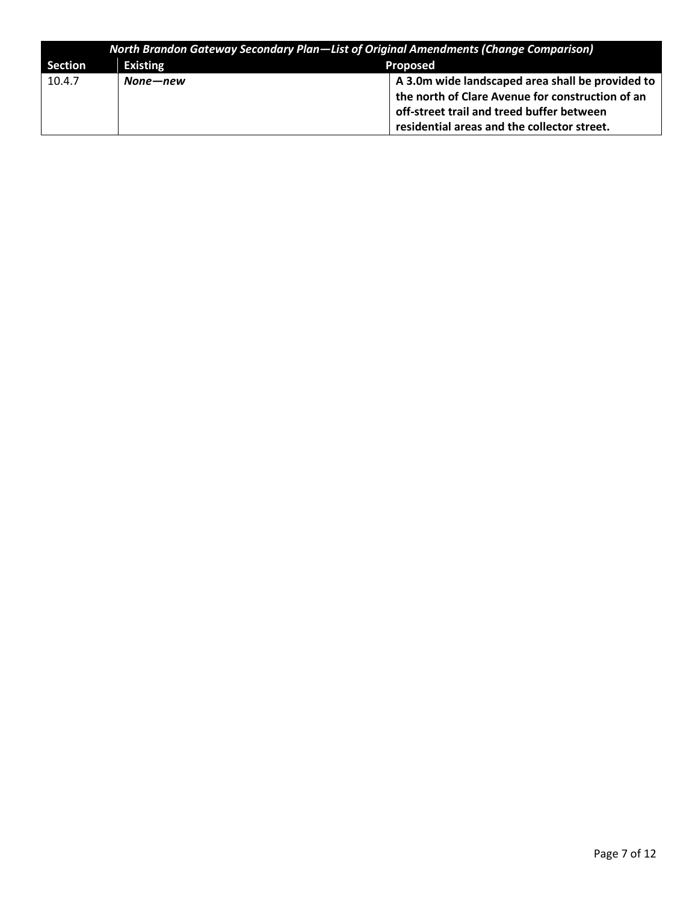| <b>North Brandon Gateway Secondary Plan—List of Original Amendments (Change Comparison)</b> |                                    |                                                  |  |
|---------------------------------------------------------------------------------------------|------------------------------------|--------------------------------------------------|--|
| Section                                                                                     | <b>Existing</b><br><b>Proposed</b> |                                                  |  |
| 10.4.7                                                                                      | None—new                           | A 3.0m wide landscaped area shall be provided to |  |
|                                                                                             |                                    | the north of Clare Avenue for construction of an |  |
|                                                                                             |                                    | off-street trail and treed buffer between        |  |
|                                                                                             |                                    | residential areas and the collector street.      |  |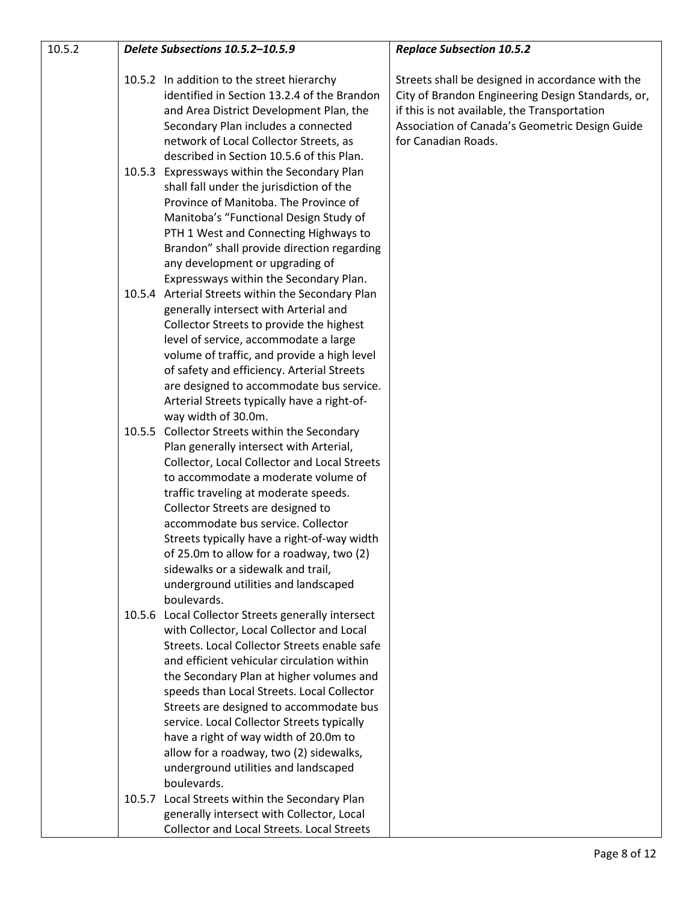| 10.5.2 |        | Delete Subsections 10.5.2-10.5.9                                                                                                                                                                                                                                                                                                                                                                                                                                                                                     | <b>Replace Subsection 10.5.2</b>                                                                                                                                                                                               |
|--------|--------|----------------------------------------------------------------------------------------------------------------------------------------------------------------------------------------------------------------------------------------------------------------------------------------------------------------------------------------------------------------------------------------------------------------------------------------------------------------------------------------------------------------------|--------------------------------------------------------------------------------------------------------------------------------------------------------------------------------------------------------------------------------|
|        |        | 10.5.2 In addition to the street hierarchy<br>identified in Section 13.2.4 of the Brandon<br>and Area District Development Plan, the<br>Secondary Plan includes a connected<br>network of Local Collector Streets, as<br>described in Section 10.5.6 of this Plan.                                                                                                                                                                                                                                                   | Streets shall be designed in accordance with the<br>City of Brandon Engineering Design Standards, or,<br>if this is not available, the Transportation<br>Association of Canada's Geometric Design Guide<br>for Canadian Roads. |
|        |        | 10.5.3 Expressways within the Secondary Plan<br>shall fall under the jurisdiction of the<br>Province of Manitoba. The Province of<br>Manitoba's "Functional Design Study of<br>PTH 1 West and Connecting Highways to<br>Brandon" shall provide direction regarding<br>any development or upgrading of<br>Expressways within the Secondary Plan.                                                                                                                                                                      |                                                                                                                                                                                                                                |
|        |        | 10.5.4 Arterial Streets within the Secondary Plan<br>generally intersect with Arterial and<br>Collector Streets to provide the highest<br>level of service, accommodate a large<br>volume of traffic, and provide a high level<br>of safety and efficiency. Arterial Streets<br>are designed to accommodate bus service.<br>Arterial Streets typically have a right-of-<br>way width of 30.0m.                                                                                                                       |                                                                                                                                                                                                                                |
|        |        | 10.5.5 Collector Streets within the Secondary<br>Plan generally intersect with Arterial,<br>Collector, Local Collector and Local Streets<br>to accommodate a moderate volume of<br>traffic traveling at moderate speeds.<br>Collector Streets are designed to<br>accommodate bus service. Collector<br>Streets typically have a right-of-way width<br>of 25.0m to allow for a roadway, two (2)<br>sidewalks or a sidewalk and trail,<br>underground utilities and landscaped<br>boulevards.                          |                                                                                                                                                                                                                                |
|        | 10.5.6 | Local Collector Streets generally intersect<br>with Collector, Local Collector and Local<br>Streets. Local Collector Streets enable safe<br>and efficient vehicular circulation within<br>the Secondary Plan at higher volumes and<br>speeds than Local Streets. Local Collector<br>Streets are designed to accommodate bus<br>service. Local Collector Streets typically<br>have a right of way width of 20.0m to<br>allow for a roadway, two (2) sidewalks,<br>underground utilities and landscaped<br>boulevards. |                                                                                                                                                                                                                                |
|        | 10.5.7 | Local Streets within the Secondary Plan<br>generally intersect with Collector, Local<br><b>Collector and Local Streets. Local Streets</b>                                                                                                                                                                                                                                                                                                                                                                            |                                                                                                                                                                                                                                |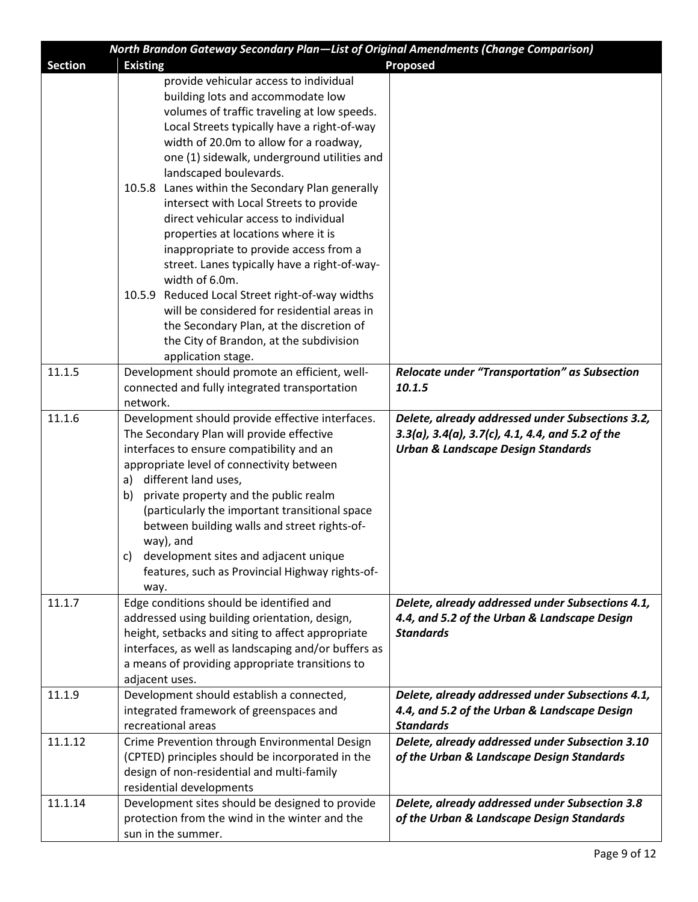|                | North Brandon Gateway Secondary Plan-List of Original Amendments (Change Comparison) |                                                                   |
|----------------|--------------------------------------------------------------------------------------|-------------------------------------------------------------------|
| <b>Section</b> | <b>Existing</b>                                                                      | <b>Proposed</b>                                                   |
|                | provide vehicular access to individual                                               |                                                                   |
|                | building lots and accommodate low                                                    |                                                                   |
|                | volumes of traffic traveling at low speeds.                                          |                                                                   |
|                | Local Streets typically have a right-of-way                                          |                                                                   |
|                | width of 20.0m to allow for a roadway,                                               |                                                                   |
|                | one (1) sidewalk, underground utilities and                                          |                                                                   |
|                | landscaped boulevards.                                                               |                                                                   |
|                | 10.5.8 Lanes within the Secondary Plan generally                                     |                                                                   |
|                | intersect with Local Streets to provide                                              |                                                                   |
|                | direct vehicular access to individual                                                |                                                                   |
|                | properties at locations where it is                                                  |                                                                   |
|                | inappropriate to provide access from a                                               |                                                                   |
|                | street. Lanes typically have a right-of-way-                                         |                                                                   |
|                | width of 6.0m.                                                                       |                                                                   |
|                | 10.5.9 Reduced Local Street right-of-way widths                                      |                                                                   |
|                | will be considered for residential areas in                                          |                                                                   |
|                | the Secondary Plan, at the discretion of                                             |                                                                   |
|                | the City of Brandon, at the subdivision                                              |                                                                   |
|                | application stage.                                                                   |                                                                   |
| 11.1.5         |                                                                                      |                                                                   |
|                | Development should promote an efficient, well-                                       | <b>Relocate under "Transportation" as Subsection</b><br>10.1.5    |
|                | connected and fully integrated transportation                                        |                                                                   |
|                | network.                                                                             |                                                                   |
| 11.1.6         | Development should provide effective interfaces.                                     | Delete, already addressed under Subsections 3.2,                  |
|                | The Secondary Plan will provide effective                                            | $3.3(a)$ , $3.4(a)$ , $3.7(c)$ , $4.1$ , $4.4$ , and $5.2$ of the |
|                | interfaces to ensure compatibility and an                                            | <b>Urban &amp; Landscape Design Standards</b>                     |
|                | appropriate level of connectivity between                                            |                                                                   |
|                | different land uses,<br>a)                                                           |                                                                   |
|                | private property and the public realm<br>b)                                          |                                                                   |
|                | (particularly the important transitional space                                       |                                                                   |
|                | between building walls and street rights-of-                                         |                                                                   |
|                | way), and                                                                            |                                                                   |
|                | development sites and adjacent unique<br>C).                                         |                                                                   |
|                | features, such as Provincial Highway rights-of-                                      |                                                                   |
|                | way.                                                                                 |                                                                   |
| 11.1.7         | Edge conditions should be identified and                                             | Delete, already addressed under Subsections 4.1,                  |
|                | addressed using building orientation, design,                                        | 4.4, and 5.2 of the Urban & Landscape Design                      |
|                | height, setbacks and siting to affect appropriate                                    | <b>Standards</b>                                                  |
|                | interfaces, as well as landscaping and/or buffers as                                 |                                                                   |
|                | a means of providing appropriate transitions to                                      |                                                                   |
|                | adjacent uses.                                                                       |                                                                   |
| 11.1.9         | Development should establish a connected,                                            | Delete, already addressed under Subsections 4.1,                  |
|                | integrated framework of greenspaces and                                              | 4.4, and 5.2 of the Urban & Landscape Design                      |
|                | recreational areas                                                                   | <b>Standards</b>                                                  |
| 11.1.12        | Crime Prevention through Environmental Design                                        | Delete, already addressed under Subsection 3.10                   |
|                | (CPTED) principles should be incorporated in the                                     | of the Urban & Landscape Design Standards                         |
|                | design of non-residential and multi-family                                           |                                                                   |
|                | residential developments                                                             |                                                                   |
| 11.1.14        | Development sites should be designed to provide                                      | Delete, already addressed under Subsection 3.8                    |
|                | protection from the wind in the winter and the                                       | of the Urban & Landscape Design Standards                         |
|                | sun in the summer.                                                                   |                                                                   |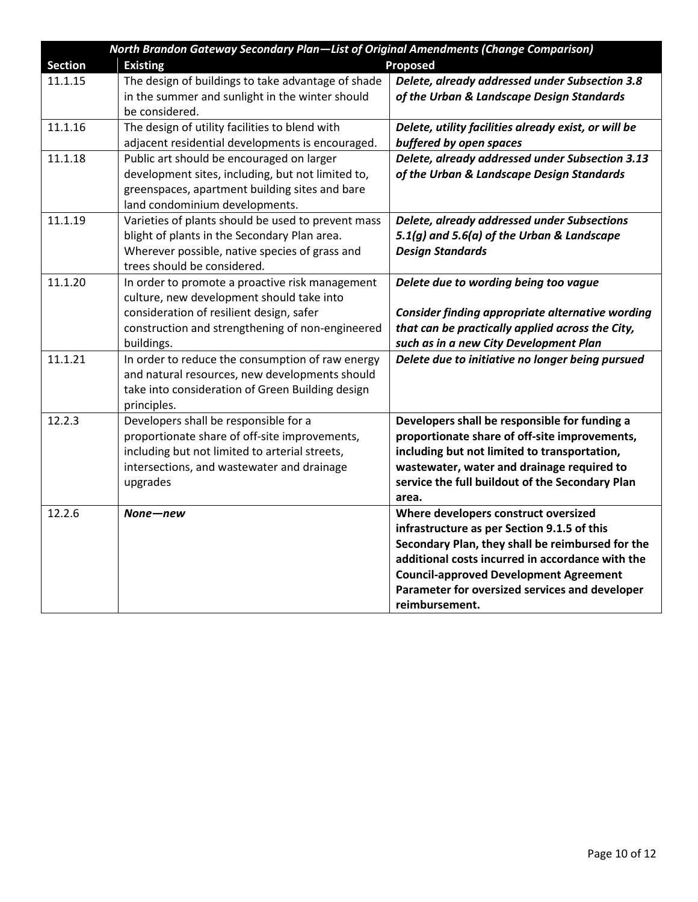| North Brandon Gateway Secondary Plan-List of Original Amendments (Change Comparison) |                                                                |                                                                                            |  |  |
|--------------------------------------------------------------------------------------|----------------------------------------------------------------|--------------------------------------------------------------------------------------------|--|--|
| <b>Section</b>                                                                       | <b>Proposed</b><br><b>Existing</b>                             |                                                                                            |  |  |
| 11.1.15                                                                              | The design of buildings to take advantage of shade             | Delete, already addressed under Subsection 3.8                                             |  |  |
|                                                                                      | in the summer and sunlight in the winter should                | of the Urban & Landscape Design Standards                                                  |  |  |
|                                                                                      | be considered.                                                 |                                                                                            |  |  |
| 11.1.16                                                                              | The design of utility facilities to blend with                 | Delete, utility facilities already exist, or will be                                       |  |  |
|                                                                                      | adjacent residential developments is encouraged.               | buffered by open spaces                                                                    |  |  |
| 11.1.18                                                                              | Public art should be encouraged on larger                      | Delete, already addressed under Subsection 3.13                                            |  |  |
|                                                                                      | development sites, including, but not limited to,              | of the Urban & Landscape Design Standards                                                  |  |  |
|                                                                                      | greenspaces, apartment building sites and bare                 |                                                                                            |  |  |
|                                                                                      | land condominium developments.                                 |                                                                                            |  |  |
| 11.1.19                                                                              | Varieties of plants should be used to prevent mass             | Delete, already addressed under Subsections                                                |  |  |
|                                                                                      | blight of plants in the Secondary Plan area.                   | 5.1(g) and 5.6(a) of the Urban & Landscape                                                 |  |  |
|                                                                                      | Wherever possible, native species of grass and                 | <b>Design Standards</b>                                                                    |  |  |
|                                                                                      | trees should be considered.                                    |                                                                                            |  |  |
| 11.1.20                                                                              | In order to promote a proactive risk management                | Delete due to wording being too vague                                                      |  |  |
|                                                                                      | culture, new development should take into                      |                                                                                            |  |  |
|                                                                                      | consideration of resilient design, safer                       | <b>Consider finding appropriate alternative wording</b>                                    |  |  |
|                                                                                      | construction and strengthening of non-engineered<br>buildings. | that can be practically applied across the City,<br>such as in a new City Development Plan |  |  |
| 11.1.21                                                                              | In order to reduce the consumption of raw energy               | Delete due to initiative no longer being pursued                                           |  |  |
|                                                                                      | and natural resources, new developments should                 |                                                                                            |  |  |
|                                                                                      | take into consideration of Green Building design               |                                                                                            |  |  |
|                                                                                      | principles.                                                    |                                                                                            |  |  |
| 12.2.3                                                                               | Developers shall be responsible for a                          | Developers shall be responsible for funding a                                              |  |  |
|                                                                                      | proportionate share of off-site improvements,                  | proportionate share of off-site improvements,                                              |  |  |
|                                                                                      | including but not limited to arterial streets,                 | including but not limited to transportation,                                               |  |  |
|                                                                                      | intersections, and wastewater and drainage                     | wastewater, water and drainage required to                                                 |  |  |
|                                                                                      | upgrades                                                       | service the full buildout of the Secondary Plan                                            |  |  |
|                                                                                      |                                                                | area.                                                                                      |  |  |
| 12.2.6                                                                               | None—new                                                       | Where developers construct oversized                                                       |  |  |
|                                                                                      |                                                                | infrastructure as per Section 9.1.5 of this                                                |  |  |
|                                                                                      |                                                                | Secondary Plan, they shall be reimbursed for the                                           |  |  |
|                                                                                      |                                                                | additional costs incurred in accordance with the                                           |  |  |
|                                                                                      |                                                                | <b>Council-approved Development Agreement</b>                                              |  |  |
|                                                                                      |                                                                | Parameter for oversized services and developer                                             |  |  |
|                                                                                      |                                                                | reimbursement.                                                                             |  |  |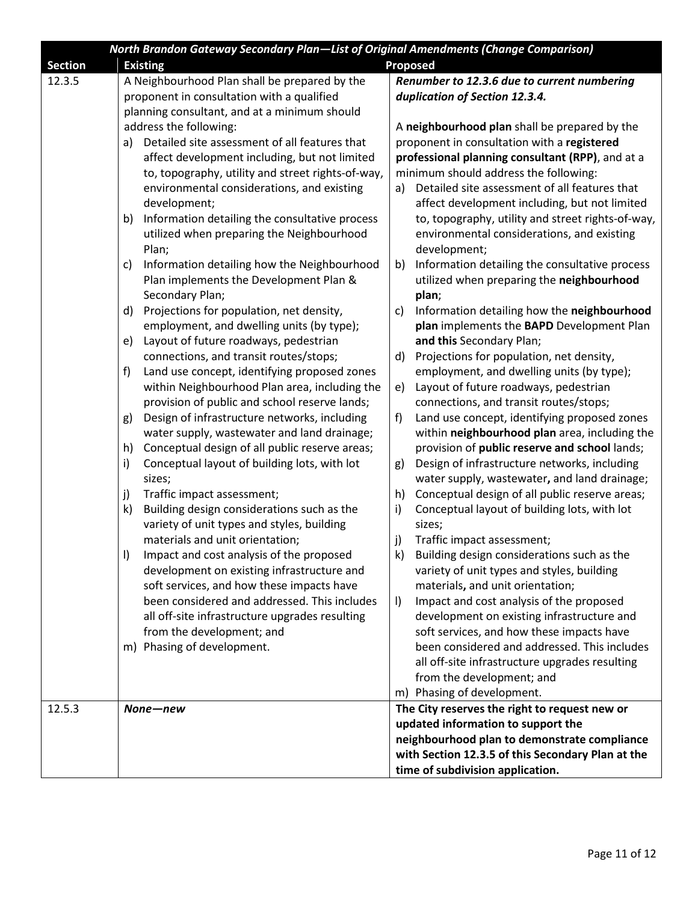|                | North Brandon Gateway Secondary Plan-List of Original Amendments (Change Comparison) |                                                      |  |  |
|----------------|--------------------------------------------------------------------------------------|------------------------------------------------------|--|--|
| <b>Section</b> | <b>Existing</b>                                                                      | <b>Proposed</b>                                      |  |  |
| 12.3.5         | A Neighbourhood Plan shall be prepared by the                                        | Renumber to 12.3.6 due to current numbering          |  |  |
|                | proponent in consultation with a qualified                                           | duplication of Section 12.3.4.                       |  |  |
|                | planning consultant, and at a minimum should                                         |                                                      |  |  |
|                | address the following:                                                               | A neighbourhood plan shall be prepared by the        |  |  |
|                | a) Detailed site assessment of all features that                                     | proponent in consultation with a registered          |  |  |
|                | affect development including, but not limited                                        | professional planning consultant (RPP), and at a     |  |  |
|                | to, topography, utility and street rights-of-way,                                    | minimum should address the following:                |  |  |
|                | environmental considerations, and existing                                           | Detailed site assessment of all features that<br>a)  |  |  |
|                | development;                                                                         | affect development including, but not limited        |  |  |
|                | Information detailing the consultative process<br>b)                                 | to, topography, utility and street rights-of-way,    |  |  |
|                | utilized when preparing the Neighbourhood                                            | environmental considerations, and existing           |  |  |
|                | Plan;                                                                                | development;                                         |  |  |
|                | Information detailing how the Neighbourhood<br>c)                                    | Information detailing the consultative process<br>b) |  |  |
|                | Plan implements the Development Plan &                                               | utilized when preparing the neighbourhood            |  |  |
|                | Secondary Plan;                                                                      | plan;                                                |  |  |
|                | Projections for population, net density,<br>d)                                       | Information detailing how the neighbourhood<br>c)    |  |  |
|                | employment, and dwelling units (by type);                                            | plan implements the BAPD Development Plan            |  |  |
|                | Layout of future roadways, pedestrian<br>e)                                          | and this Secondary Plan;                             |  |  |
|                | connections, and transit routes/stops;                                               | Projections for population, net density,<br>d)       |  |  |
|                | Land use concept, identifying proposed zones<br>f)                                   | employment, and dwelling units (by type);            |  |  |
|                | within Neighbourhood Plan area, including the                                        | Layout of future roadways, pedestrian<br>e)          |  |  |
|                | provision of public and school reserve lands;                                        | connections, and transit routes/stops;               |  |  |
|                | Design of infrastructure networks, including<br>g)                                   | Land use concept, identifying proposed zones<br>f)   |  |  |
|                | water supply, wastewater and land drainage;                                          | within neighbourhood plan area, including the        |  |  |
|                | Conceptual design of all public reserve areas;<br>h)                                 | provision of public reserve and school lands;        |  |  |
|                | Conceptual layout of building lots, with lot<br>i)                                   | Design of infrastructure networks, including<br>g)   |  |  |
|                | sizes;                                                                               | water supply, wastewater, and land drainage;         |  |  |
|                | Traffic impact assessment;<br>j)                                                     | Conceptual design of all public reserve areas;<br>h) |  |  |
|                | Building design considerations such as the<br>$\mathsf{k}$                           | Conceptual layout of building lots, with lot<br>i)   |  |  |
|                | variety of unit types and styles, building                                           | sizes;                                               |  |  |
|                | materials and unit orientation;                                                      | Traffic impact assessment;<br>j)                     |  |  |
|                | Impact and cost analysis of the proposed<br>$\vert$                                  | k) Building design considerations such as the        |  |  |
|                | development on existing infrastructure and                                           | variety of unit types and styles, building           |  |  |
|                | soft services, and how these impacts have                                            | materials, and unit orientation;                     |  |  |
|                | been considered and addressed. This includes                                         | Impact and cost analysis of the proposed<br>$\vert$  |  |  |
|                | all off-site infrastructure upgrades resulting                                       | development on existing infrastructure and           |  |  |
|                | from the development; and                                                            | soft services, and how these impacts have            |  |  |
|                | m) Phasing of development.                                                           | been considered and addressed. This includes         |  |  |
|                |                                                                                      | all off-site infrastructure upgrades resulting       |  |  |
|                |                                                                                      | from the development; and                            |  |  |
|                |                                                                                      | m) Phasing of development.                           |  |  |
| 12.5.3         | None-new                                                                             | The City reserves the right to request new or        |  |  |
|                |                                                                                      | updated information to support the                   |  |  |
|                |                                                                                      | neighbourhood plan to demonstrate compliance         |  |  |
|                |                                                                                      | with Section 12.3.5 of this Secondary Plan at the    |  |  |
|                |                                                                                      | time of subdivision application.                     |  |  |